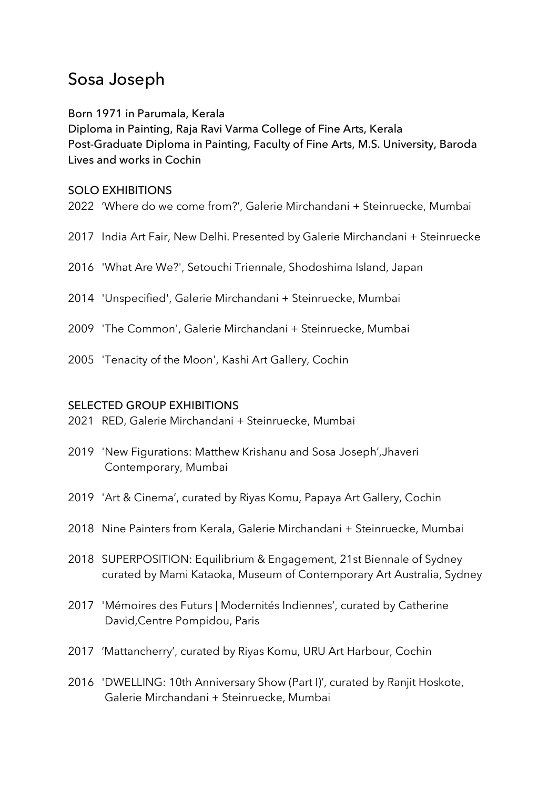# Sosa Joseph

## Born 1971 in Parumala, Kerala

Diploma in Painting, Raja Ravi Varma College of Fine Arts, Kerala Post-Graduate Diploma in Painting, Faculty of Fine Arts, M.S. University, Baroda Lives and works in Cochin

#### SOLO EXHIBITIONS

- 2022 'Where do we come from?', Galerie Mirchandani + Steinruecke, Mumbai
- 2017 India Art Fair, New Delhi. Presented by Galerie Mirchandani + Steinruecke
- 2016 'What Are We?', Setouchi Triennale, Shodoshima Island, Japan
- 2014 'Unspecified', Galerie Mirchandani + Steinruecke, Mumbai
- 2009 'The Common', Galerie Mirchandani + Steinruecke, Mumbai
- 2005 'Tenacity of the Moon', Kashi Art Gallery, Cochin

### SELECTED GROUP EXHIBITIONS

- 2021 RED, Galerie Mirchandani + Steinruecke, Mumbai
- 2019 'New Figurations: Matthew Krishanu and Sosa Joseph',Jhaveri Contemporary, Mumbai
- 2019 'Art & Cinema', curated by Riyas Komu, Papaya Art Gallery, Cochin
- 2018 Nine Painters from Kerala, Galerie Mirchandani + Steinruecke, Mumbai
- 2018 SUPERPOSITION: Equilibrium & Engagement, 21st Biennale of Sydney curated by Mami Kataoka, Museum of Contemporary Art Australia, Sydney
- 2017 'Mémoires des Futurs | Modernités Indiennes', curated by Catherine David,Centre Pompidou, Paris
- 2017 'Mattancherry', curated by Riyas Komu, URU Art Harbour, Cochin
- 2016 'DWELLING: 10th Anniversary Show (Part I)', curated by Ranjit Hoskote, Galerie Mirchandani + Steinruecke, Mumbai